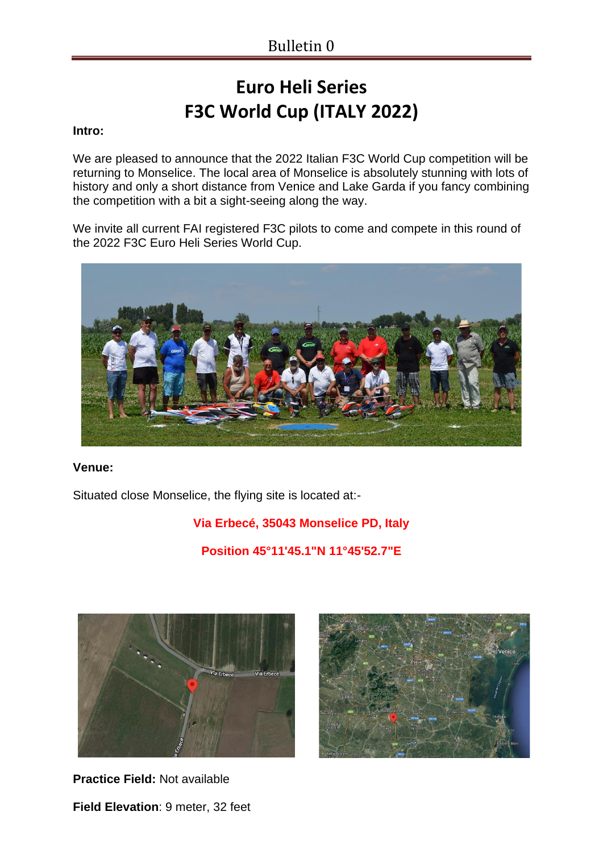# **Euro Heli Series F3C World Cup (ITALY 2022)**

# **Intro:**

We are pleased to announce that the 2022 Italian F3C World Cup competition will be returning to Monselice. The local area of Monselice is absolutely stunning with lots of history and only a short distance from Venice and Lake Garda if you fancy combining the competition with a bit a sight-seeing along the way.

We invite all current FAI registered F3C pilots to come and compete in this round of the 2022 F3C Euro Heli Series World Cup.



#### **Venue:**

Situated close Monselice, the flying site is located at:-

**Via Erbecé, 35043 Monselice PD, Italy**

**Position 45°11'45.1"N 11°45'52.7"E**



**Practice Field:** Not available



**Field Elevation**: 9 meter, 32 feet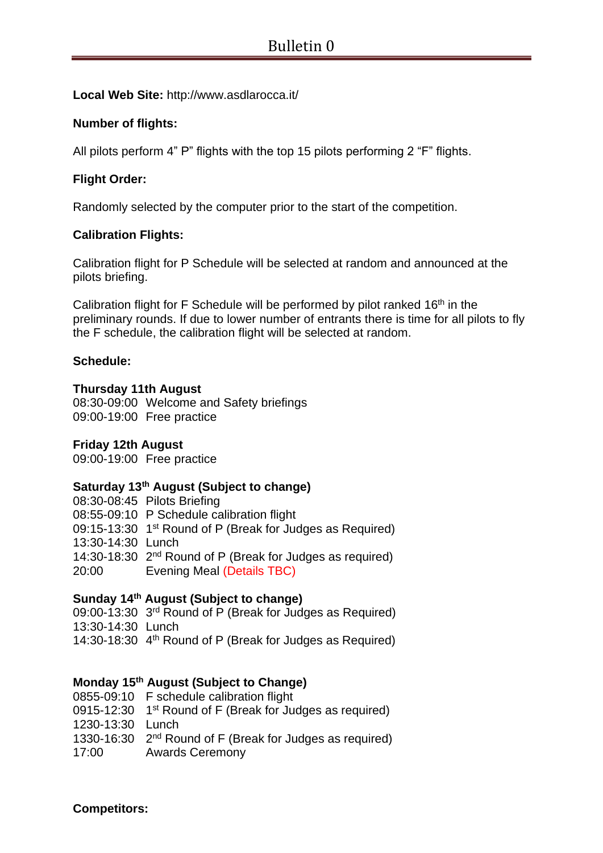**Local Web Site:** http://www.asdlarocca.it/

# **Number of flights:**

All pilots perform 4" P" flights with the top 15 pilots performing 2 "F" flights.

# **Flight Order:**

Randomly selected by the computer prior to the start of the competition.

#### **Calibration Flights:**

Calibration flight for P Schedule will be selected at random and announced at the pilots briefing.

Calibration flight for F Schedule will be performed by pilot ranked 16<sup>th</sup> in the preliminary rounds. If due to lower number of entrants there is time for all pilots to fly the F schedule, the calibration flight will be selected at random.

#### **Schedule:**

#### **Thursday 11th August**

08:30-09:00 Welcome and Safety briefings 09:00-19:00 Free practice

#### **Friday 12th August**

09:00-19:00 Free practice

#### **Saturday 13th August (Subject to change)**

08:30-08:45 Pilots Briefing 08:55-09:10 P Schedule calibration flight 09:15-13:30 1<sup>st</sup> Round of P (Break for Judges as Required) 13:30-14:30 Lunch 14:30-18:30 2<sup>nd</sup> Round of P (Break for Judges as required) 20:00 Evening Meal (Details TBC)

#### **Sunday 14th August (Subject to change)**

09:00-13:30 3<sup>rd</sup> Round of P (Break for Judges as Required) 13:30-14:30 Lunch 14:30-18:30 4 th Round of P (Break for Judges as Required)

#### **Monday 15th August (Subject to Change)**

0855-09:10 F schedule calibration flight 0915-12:30 1<sup>st</sup> Round of F (Break for Judges as required) 1230-13:30 Lunch 1330-16:30 2<sup>nd</sup> Round of F (Break for Judges as required) 17:00 Awards Ceremony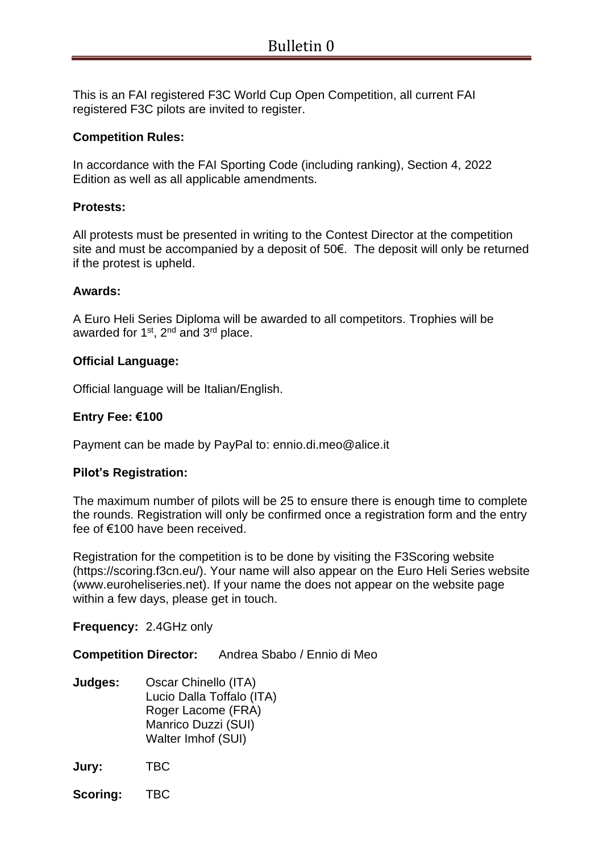This is an FAI registered F3C World Cup Open Competition, all current FAI registered F3C pilots are invited to register.

# **Competition Rules:**

In accordance with the FAI Sporting Code (including ranking), Section 4, 2022 Edition as well as all applicable amendments.

# **Protests:**

All protests must be presented in writing to the Contest Director at the competition site and must be accompanied by a deposit of 50€. The deposit will only be returned if the protest is upheld.

# **Awards:**

A Euro Heli Series Diploma will be awarded to all competitors. Trophies will be awarded for 1<sup>st</sup>, 2<sup>nd</sup> and 3<sup>rd</sup> place.

# **Official Language:**

Official language will be Italian/English.

# **Entry Fee: €100**

Payment can be made by PayPal to: ennio.di.meo@alice.it

#### **Pilot's Registration:**

The maximum number of pilots will be 25 to ensure there is enough time to complete the rounds. Registration will only be confirmed once a registration form and the entry fee of €100 have been received.

Registration for the competition is to be done by visiting the F3Scoring website (https://scoring.f3cn.eu/). Your name will also appear on the Euro Heli Series website (www.euroheliseries.net). If your name the does not appear on the website page within a few days, please get in touch.

**Frequency:** 2.4GHz only

**Competition Director:** Andrea Sbabo / Ennio di Meo

- **Judges:** Oscar Chinello (ITA) Lucio Dalla Toffalo (ITA) Roger Lacome (FRA) Manrico Duzzi (SUI) Walter Imhof (SUI)
- **Jury:** TBC

**Scoring:** TBC